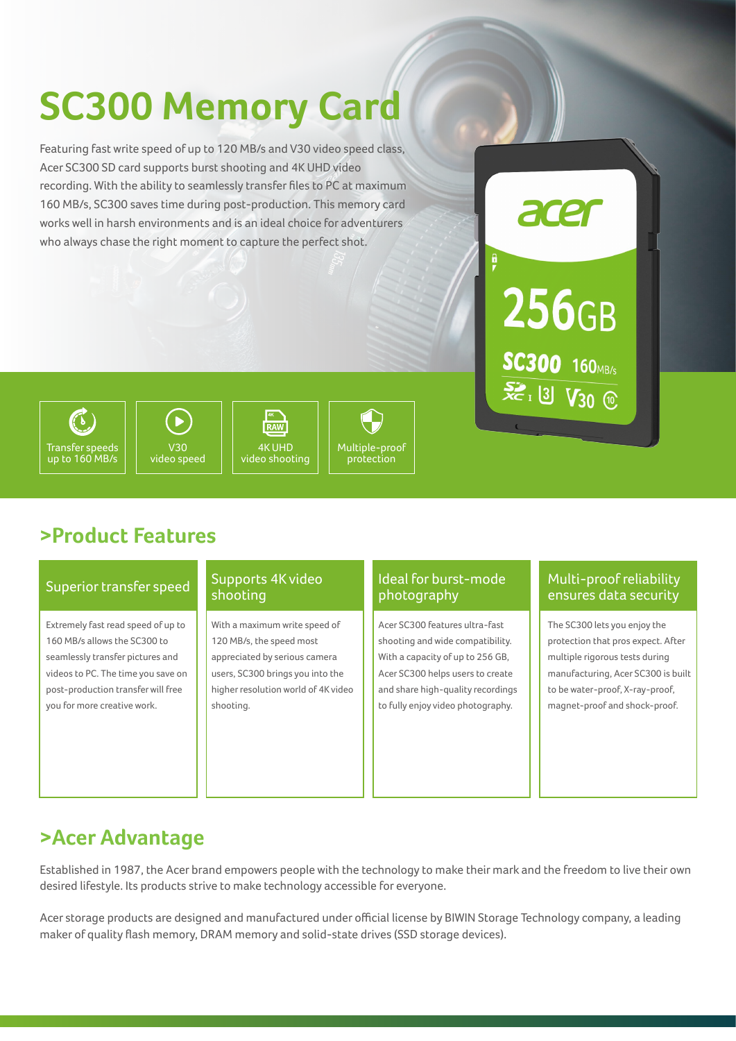# **SC300 Memory Card**

Featuring fast write speed of up to 120 MB/s and V30 video speed class, Acer SC300 SD card supports burst shooting and 4K UHD video recording. With the ability to seamlessly transfer files to PC at maximum 160 MB/s, SC300 saves time during post-production. This memory card works well in harsh environments and is an ideal choice for adventurers who always chase the right moment to capture the perfect shot.



## Transfer speeds up to 160 MB/s



4K **RAW** 4K UHD video shooting

protection

## Multiple-proof

### **>Product Features**

#### Superior transfer speed

Extremely fast read speed of up to 160 MB/s allows the SC300 to seamlessly transfer pictures and videos to PC. The time you save on post-production transfer will free you for more creative work.

#### Supports 4K video shooting

With a maximum write speed of 120 MB/s, the speed most appreciated by serious camera users, SC300 brings you into the higher resolution world of 4K video shooting.

#### Ideal for burst-mode photography

Acer SC300 features ultra-fast shooting and wide compatibility. With a capacity of up to 256 GB, Acer SC300 helps users to create and share high-quality recordings to fully enjoy video photography.

#### Multi-proof reliability ensures data security

The SC300 lets you enjoy the protection that pros expect. After multiple rigorous tests during manufacturing, Acer SC300 is built to be water-proof, X-ray-proof, magnet-proof and shock-proof.

### **>Acer Advantage**

Established in 1987, the Acer brand empowers people with the technology to make their mark and the freedom to live their own desired lifestyle. Its products strive to make technology accessible for everyone.

Acer storage products are designed and manufactured under official license by BIWIN Storage Technology company, a leading maker of quality flash memory, DRAM memory and solid-state drives (SSD storage devices).